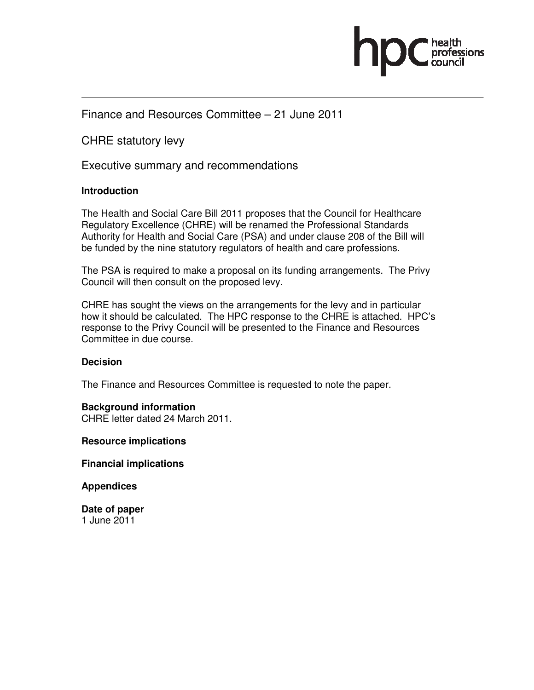

# Finance and Resources Committee – 21 June 2011

CHRE statutory levy

Executive summary and recommendations

### **Introduction**

The Health and Social Care Bill 2011 proposes that the Council for Healthcare Regulatory Excellence (CHRE) will be renamed the Professional Standards Authority for Health and Social Care (PSA) and under clause 208 of the Bill will be funded by the nine statutory regulators of health and care professions.

The PSA is required to make a proposal on its funding arrangements. The Privy Council will then consult on the proposed levy.

CHRE has sought the views on the arrangements for the levy and in particular how it should be calculated. The HPC response to the CHRE is attached. HPC's response to the Privy Council will be presented to the Finance and Resources Committee in due course.

### **Decision**

The Finance and Resources Committee is requested to note the paper.

### **Background information**

CHRE letter dated 24 March 2011.

**Resource implications** 

**Financial implications** 

**Appendices** 

**Date of paper**  1 June 2011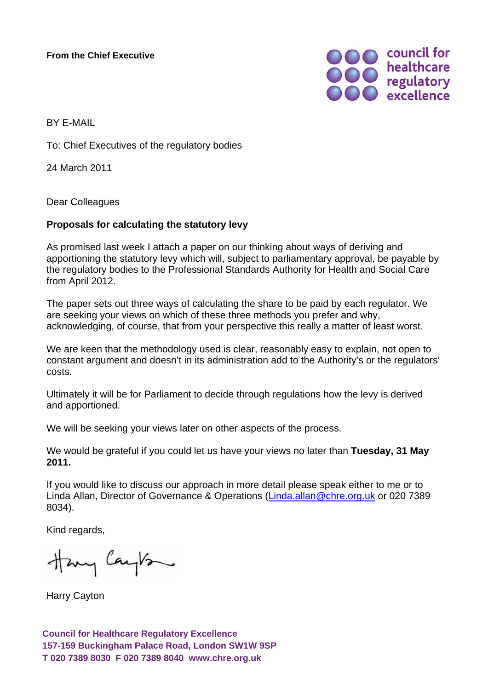**From the Chief Executive**



BY E-MAIL

To: Chief Executives of the regulatory bodies

24 March 2011

Dear Colleagues

### **Proposals for calculating the statutory levy**

As promised last week I attach a paper on our thinking about ways of deriving and apportioning the statutory levy which will, subject to parliamentary approval, be payable by the regulatory bodies to the Professional Standards Authority for Health and Social Care from April 2012.

The paper sets out three ways of calculating the share to be paid by each regulator. We are seeking your views on which of these three methods you prefer and why, acknowledging, of course, that from your perspective this really a matter of least worst.

We are keen that the methodology used is clear, reasonably easy to explain, not open to constant argument and doesn't in its administration add to the Authority's or the regulators' costs.

Ultimately it will be for Parliament to decide through regulations how the levy is derived and apportioned.

We will be seeking your views later on other aspects of the process.

We would be grateful if you could let us have your views no later than **Tuesday, 31 May 2011.**

If you would like to discuss our approach in more detail please speak either to me or to Linda Allan, Director of Governance & Operations (Linda.allan@chre.org.uk or 020 7389 8034).

Kind regards,

Havy Cayton

Harry Cayton

**Council for Healthcare Regulatory Excellence 157-159 Buckingham Palace Road, London SW1W 9SP T 020 7389 8030 F 020 7389 8040 www.chre.org.uk**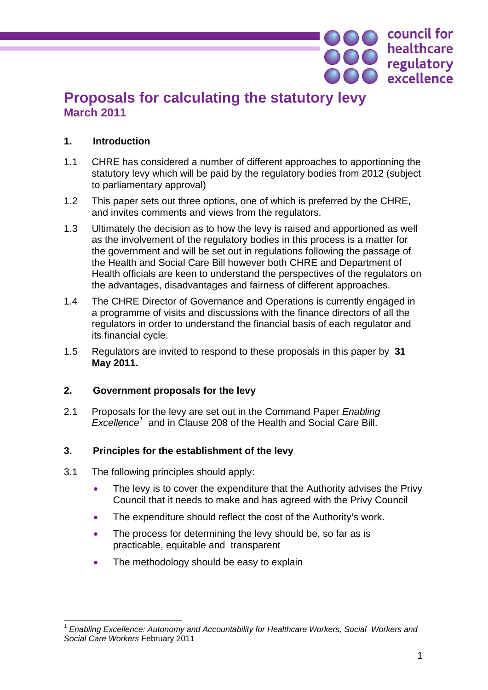# **Proposals for calculating the statutory levy March 2011**

# **1. Introduction**

- 1.1 CHRE has considered a number of different approaches to apportioning the statutory levy which will be paid by the regulatory bodies from 2012 (subject to parliamentary approval)
- 1.2 This paper sets out three options, one of which is preferred by the CHRE, and invites comments and views from the regulators.
- 1.3 Ultimately the decision as to how the levy is raised and apportioned as well as the involvement of the regulatory bodies in this process is a matter for the government and will be set out in regulations following the passage of the Health and Social Care Bill however both CHRE and Department of Health officials are keen to understand the perspectives of the regulators on the advantages, disadvantages and fairness of different approaches.
- 1.4 The CHRE Director of Governance and Operations is currently engaged in a programme of visits and discussions with the finance directors of all the regulators in order to understand the financial basis of each regulator and its financial cycle.
- 1.5 Regulators are invited to respond to these proposals in this paper by **31 May 2011.**

# **2. Government proposals for the levy**

2.1 Proposals for the levy are set out in the Command Paper *Enabling Excellence<sup>1</sup>* and in Clause 208 of the Health and Social Care Bill.

# **3. Principles for the establishment of the levy**

- 3.1 The following principles should apply:
	- The levy is to cover the expenditure that the Authority advises the Privy Council that it needs to make and has agreed with the Privy Council
	- The expenditure should reflect the cost of the Authority's work.
	- The process for determining the levy should be, so far as is practicable, equitable and transparent
	- The methodology should be easy to explain

council for

healthcare

**OOO** healthcare<br> **OOO** excellence

 $\overline{a}$ <sup>1</sup> *Enabling Excellence: Autonomy and Accountability for Healthcare Workers, Social Workers and Social Care Workers* February 2011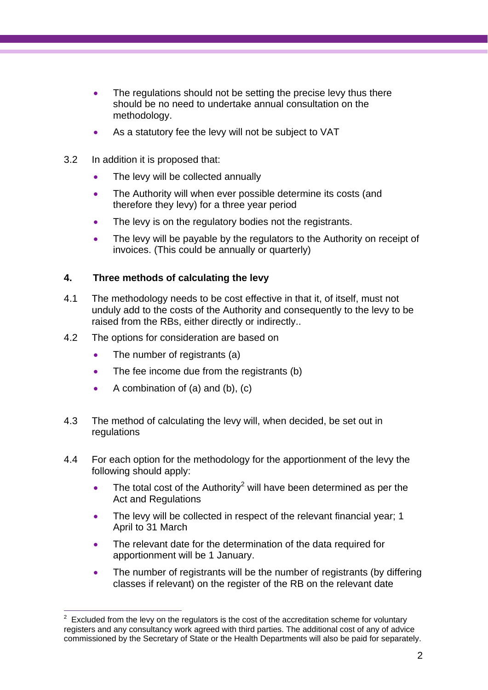- The regulations should not be setting the precise levy thus there should be no need to undertake annual consultation on the methodology.
- As a statutory fee the levy will not be subject to VAT
- 3.2 In addition it is proposed that:
	- The levy will be collected annually
	- The Authority will when ever possible determine its costs (and therefore they levy) for a three year period
	- The levy is on the regulatory bodies not the registrants.
	- The levy will be payable by the regulators to the Authority on receipt of invoices. (This could be annually or quarterly)

# **4. Three methods of calculating the levy**

- 4.1 The methodology needs to be cost effective in that it, of itself, must not unduly add to the costs of the Authority and consequently to the levy to be raised from the RBs, either directly or indirectly..
- 4.2 The options for consideration are based on
	- The number of registrants (a)
	- The fee income due from the registrants (b)
	- A combination of (a) and (b), (c)
- 4.3 The method of calculating the levy will, when decided, be set out in regulations
- 4.4 For each option for the methodology for the apportionment of the levy the following should apply:
	- The total cost of the Authority<sup>2</sup> will have been determined as per the Act and Regulations
	- The levy will be collected in respect of the relevant financial year: 1 April to 31 March
	- The relevant date for the determination of the data required for apportionment will be 1 January.
	- The number of registrants will be the number of registrants (by differing classes if relevant) on the register of the RB on the relevant date

 $\frac{1}{2}$  Excluded from the levy on the regulators is the cost of the accreditation scheme for voluntary registers and any consultancy work agreed with third parties. The additional cost of any of advice commissioned by the Secretary of State or the Health Departments will also be paid for separately.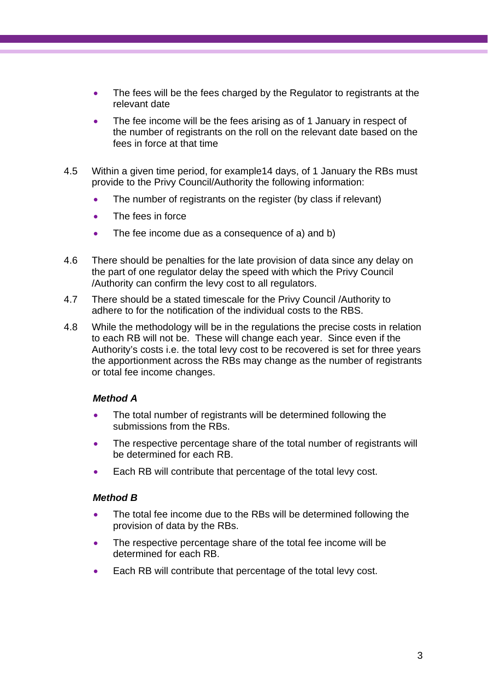- The fees will be the fees charged by the Regulator to registrants at the relevant date
- The fee income will be the fees arising as of 1 January in respect of the number of registrants on the roll on the relevant date based on the fees in force at that time
- 4.5 Within a given time period, for example14 days, of 1 January the RBs must provide to the Privy Council/Authority the following information:
	- The number of registrants on the register (by class if relevant)
	- The fees in force
	- The fee income due as a consequence of a) and b)
- 4.6 There should be penalties for the late provision of data since any delay on the part of one regulator delay the speed with which the Privy Council /Authority can confirm the levy cost to all regulators.
- 4.7 There should be a stated timescale for the Privy Council /Authority to adhere to for the notification of the individual costs to the RBS.
- 4.8 While the methodology will be in the regulations the precise costs in relation to each RB will not be. These will change each year. Since even if the Authority's costs i.e. the total levy cost to be recovered is set for three years the apportionment across the RBs may change as the number of registrants or total fee income changes.

## *Method A*

- The total number of registrants will be determined following the submissions from the RBs.
- The respective percentage share of the total number of registrants will be determined for each RB.
- Each RB will contribute that percentage of the total levy cost.

## *Method B*

- The total fee income due to the RBs will be determined following the provision of data by the RBs.
- The respective percentage share of the total fee income will be determined for each RB.
- Each RB will contribute that percentage of the total levy cost.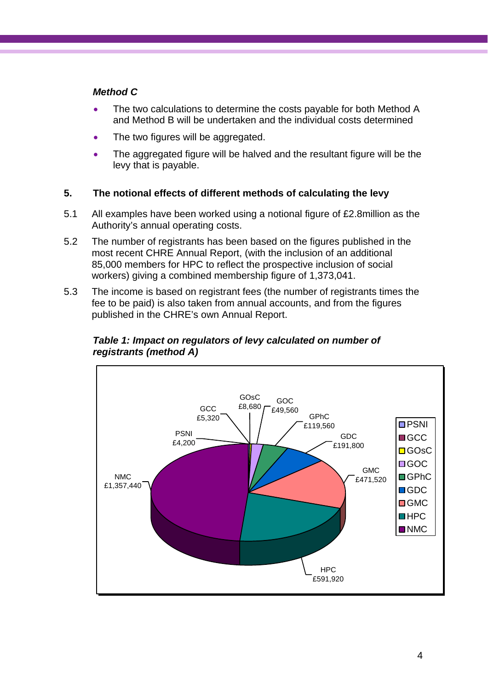# *Method C*

- The two calculations to determine the costs payable for both Method A and Method B will be undertaken and the individual costs determined
- The two figures will be aggregated.
- The aggregated figure will be halved and the resultant figure will be the levy that is payable.

# **5. The notional effects of different methods of calculating the levy**

- 5.1 All examples have been worked using a notional figure of £2.8million as the Authority's annual operating costs.
- 5.2 The number of registrants has been based on the figures published in the most recent CHRE Annual Report, (with the inclusion of an additional 85,000 members for HPC to reflect the prospective inclusion of social workers) giving a combined membership figure of 1,373,041.
- 5.3 The income is based on registrant fees (the number of registrants times the fee to be paid) is also taken from annual accounts, and from the figures published in the CHRE's own Annual Report.



# *Table 1: Impact on regulators of levy calculated on number of registrants (method A)*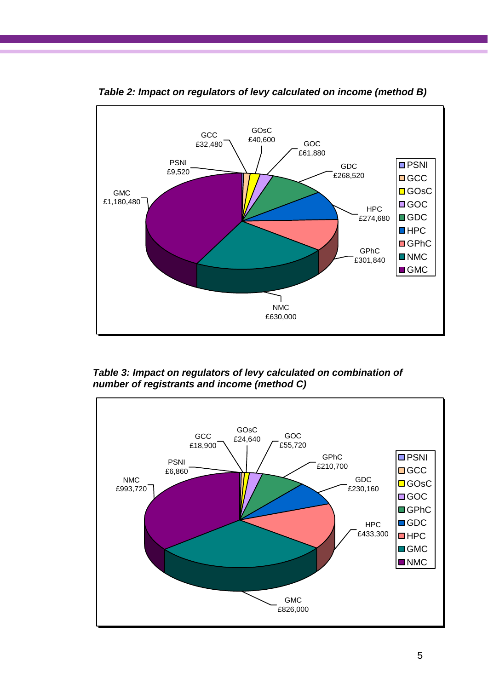

*Table 2: Impact on regulators of levy calculated on income (method B)* 

*Table 3: Impact on regulators of levy calculated on combination of number of registrants and income (method C)* 

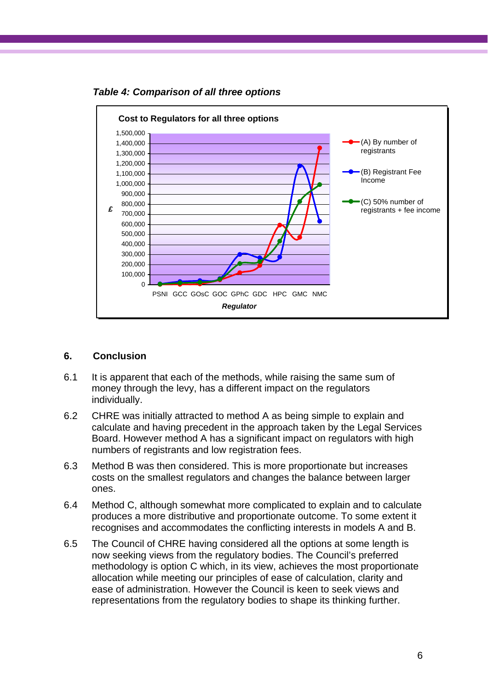

*Table 4: Comparison of all three options* 

## **6. Conclusion**

- 6.1 It is apparent that each of the methods, while raising the same sum of money through the levy, has a different impact on the regulators individually.
- 6.2 CHRE was initially attracted to method A as being simple to explain and calculate and having precedent in the approach taken by the Legal Services Board. However method A has a significant impact on regulators with high numbers of registrants and low registration fees.
- 6.3 Method B was then considered. This is more proportionate but increases costs on the smallest regulators and changes the balance between larger ones.
- 6.4 Method C, although somewhat more complicated to explain and to calculate produces a more distributive and proportionate outcome. To some extent it recognises and accommodates the conflicting interests in models A and B.
- 6.5 The Council of CHRE having considered all the options at some length is now seeking views from the regulatory bodies. The Council's preferred methodology is option C which, in its view, achieves the most proportionate allocation while meeting our principles of ease of calculation, clarity and ease of administration. However the Council is keen to seek views and representations from the regulatory bodies to shape its thinking further.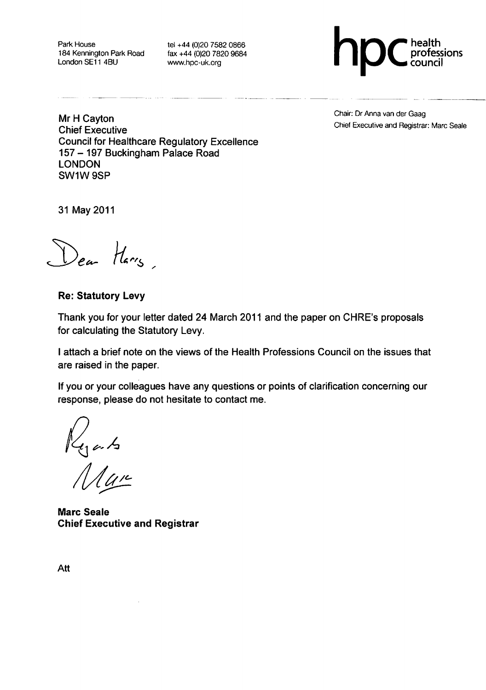Park House 184 Kennington Park Road London SE11 4BU

tel +44 (0)20 7582 0866 fax +44 (0)20 7820 9684 www.hpc-uk.org



Mr H Cayton **Chief Executive Council for Healthcare Regulatory Excellence** 157 - 197 Buckingham Palace Road **LONDON** SW1W 9SP

Chair: Dr Anna van der Gaag Chief Executive and Registrar: Marc Seale

31 May 2011

Dear Harry

**Re: Statutory Levy** 

Thank you for your letter dated 24 March 2011 and the paper on CHRE's proposals for calculating the Statutory Levy.

I attach a brief note on the views of the Health Professions Council on the issues that are raised in the paper.

If you or your colleagues have any questions or points of clarification concerning our response, please do not hesitate to contact me.

 $\frac{1}{4}$ 

**Marc Seale Chief Executive and Registrar** 

Att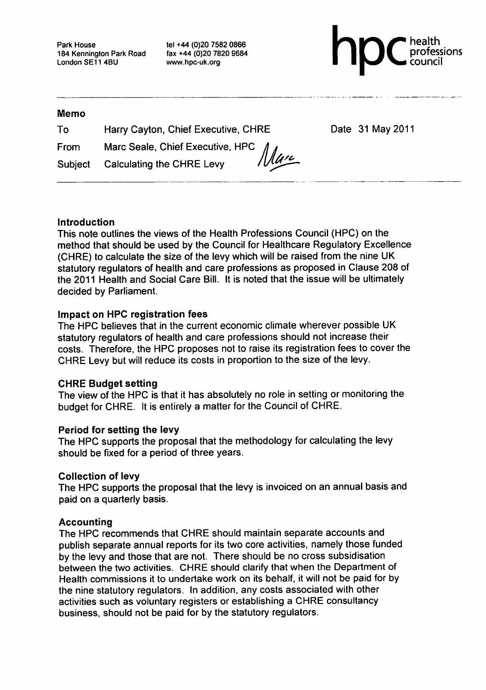Park House 184 Kennington Park Road London SE11 4BU

tel +44 (0)20 7582 0866 fax +44 (0)20 7820 9684 www.hpc-uk.org



#### **Memo**

| To   | Harry Cayton, Chief Executive, CHRE | Date 31 May 2011 |
|------|-------------------------------------|------------------|
| From | Marc Seale, Chief Executive, HPC 1  |                  |

Calculating the CHRE Levy Subject

IVU'

### Introduction

This note outlines the views of the Health Professions Council (HPC) on the method that should be used by the Council for Healthcare Regulatory Excellence (CHRE) to calculate the size of the levy which will be raised from the nine UK statutory regulators of health and care professions as proposed in Clause 208 of the 2011 Health and Social Care Bill. It is noted that the issue will be ultimately decided by Parliament.

### Impact on HPC registration fees

The HPC believes that in the current economic climate wherever possible UK statutory regulators of health and care professions should not increase their costs. Therefore, the HPC proposes not to raise its registration fees to cover the CHRE Levy but will reduce its costs in proportion to the size of the levy.

## **CHRE Budget setting**

The view of the HPC is that it has absolutely no role in setting or monitoring the budget for CHRE. It is entirely a matter for the Council of CHRE.

### Period for setting the levy

The HPC supports the proposal that the methodology for calculating the levy should be fixed for a period of three years.

### **Collection of levy**

The HPC supports the proposal that the levy is invoiced on an annual basis and paid on a quarterly basis.

### **Accounting**

The HPC recommends that CHRE should maintain separate accounts and publish separate annual reports for its two core activities, namely those funded by the levy and those that are not. There should be no cross subsidisation between the two activities. CHRE should clarify that when the Department of Health commissions it to undertake work on its behalf, it will not be paid for by the nine statutory regulators. In addition, any costs associated with other activities such as voluntary registers or establishing a CHRE consultancy business, should not be paid for by the statutory regulators.